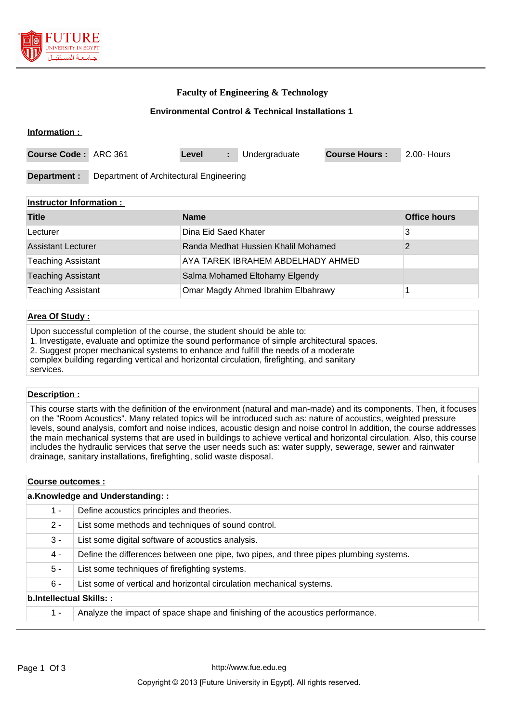

**Information :** 

### **Faculty of Engineering & Technology**

#### **Environmental Control & Technical Installations 1**

| Course Code: ARC 361 |                                         | Level |  | Undergraduate | <b>Course Hours:</b> | 2.00- Hours |
|----------------------|-----------------------------------------|-------|--|---------------|----------------------|-------------|
| Department :         | Department of Architectural Engineering |       |  |               |                      |             |

#### **Instructor Information :**

| <b>Title</b>              | <b>Name</b>                         | <b>Office hours</b> |
|---------------------------|-------------------------------------|---------------------|
| Lecturer                  | Dina Eid Saed Khater                | 3                   |
| <b>Assistant Lecturer</b> | Randa Medhat Hussien Khalil Mohamed |                     |
| <b>Teaching Assistant</b> | AYA TAREK IBRAHEM ABDELHADY AHMED   |                     |
| <b>Teaching Assistant</b> | Salma Mohamed Eltohamy Elgendy      |                     |
| <b>Teaching Assistant</b> | Omar Magdy Ahmed Ibrahim Elbahrawy  |                     |

## **Area Of Study :**

Upon successful completion of the course, the student should be able to:

1. Investigate, evaluate and optimize the sound performance of simple architectural spaces.

2. Suggest proper mechanical systems to enhance and fulfill the needs of a moderate

complex building regarding vertical and horizontal circulation, firefighting, and sanitary services.

#### **Description :**

This course starts with the definition of the environment (natural and man-made) and its components. Then, it focuses on the "Room Acoustics". Many related topics will be introduced such as: nature of acoustics, weighted pressure levels, sound analysis, comfort and noise indices, acoustic design and noise control In addition, the course addresses the main mechanical systems that are used in buildings to achieve vertical and horizontal circulation. Also, this course includes the hydraulic services that serve the user needs such as: water supply, sewerage, sewer and rainwater drainage, sanitary installations, firefighting, solid waste disposal.

| Course outcomes :               |                                                                                       |  |  |
|---------------------------------|---------------------------------------------------------------------------------------|--|--|
| a.Knowledge and Understanding:: |                                                                                       |  |  |
| $1 -$                           | Define acoustics principles and theories.                                             |  |  |
| $2 -$                           | List some methods and techniques of sound control.                                    |  |  |
| $3 -$                           | List some digital software of acoustics analysis.                                     |  |  |
| 4 -                             | Define the differences between one pipe, two pipes, and three pipes plumbing systems. |  |  |
| $5 -$                           | List some techniques of firefighting systems.                                         |  |  |
| $6 -$                           | List some of vertical and horizontal circulation mechanical systems.                  |  |  |
| b.Intellectual Skills::         |                                                                                       |  |  |
| $1 -$                           | Analyze the impact of space shape and finishing of the acoustics performance.         |  |  |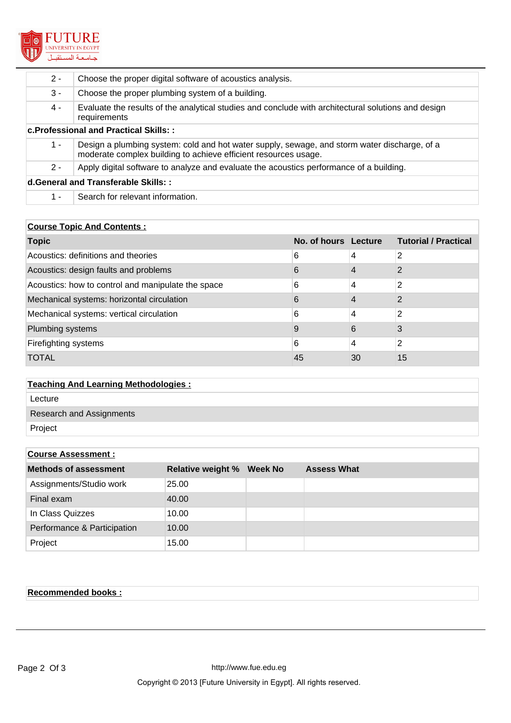

| $2 -$                                        | Choose the proper digital software of acoustics analysis.                                                                                                       |  |  |
|----------------------------------------------|-----------------------------------------------------------------------------------------------------------------------------------------------------------------|--|--|
| 3 -                                          | Choose the proper plumbing system of a building.                                                                                                                |  |  |
| 4 -                                          | Evaluate the results of the analytical studies and conclude with architectural solutions and design<br>requirements                                             |  |  |
| <b>c.Professional and Practical Skills::</b> |                                                                                                                                                                 |  |  |
| $1 -$                                        | Design a plumbing system: cold and hot water supply, sewage, and storm water discharge, of a<br>moderate complex building to achieve efficient resources usage. |  |  |
| $2 -$                                        | Apply digital software to analyze and evaluate the acoustics performance of a building.                                                                         |  |  |
| d.General and Transferable Skills::          |                                                                                                                                                                 |  |  |
| 1 -                                          | Search for relevant information.                                                                                                                                |  |  |

## **Course Topic And Contents :**

| <b>Topic</b>                                       | No. of hours Lecture |    | <b>Tutorial / Practical</b> |
|----------------------------------------------------|----------------------|----|-----------------------------|
| Acoustics: definitions and theories                | 6                    | 4  | 2                           |
| Acoustics: design faults and problems              | 6                    |    | 2                           |
| Acoustics: how to control and manipulate the space | 6                    | 4  | 2                           |
| Mechanical systems: horizontal circulation         | 6                    | 4  | 2                           |
| Mechanical systems: vertical circulation           | 6                    | 4  | 2                           |
| Plumbing systems                                   | 9                    | 6  | 3                           |
| Firefighting systems                               | 6                    | 4  | 2                           |
| <b>TOTAL</b>                                       | 45                   | 30 | 15                          |

# **Teaching And Learning Methodologies :** Lecture Research and Assignments

Project

| <b>Course Assessment:</b>    |                          |                 |                    |  |
|------------------------------|--------------------------|-----------------|--------------------|--|
| <b>Methods of assessment</b> | <b>Relative weight %</b> | <b>Week No.</b> | <b>Assess What</b> |  |
| Assignments/Studio work      | 25.00                    |                 |                    |  |
| Final exam                   | 40.00                    |                 |                    |  |
| In Class Quizzes             | 10.00                    |                 |                    |  |
| Performance & Participation  | 10.00                    |                 |                    |  |
| Project                      | 15.00                    |                 |                    |  |

## **Recommended books :**